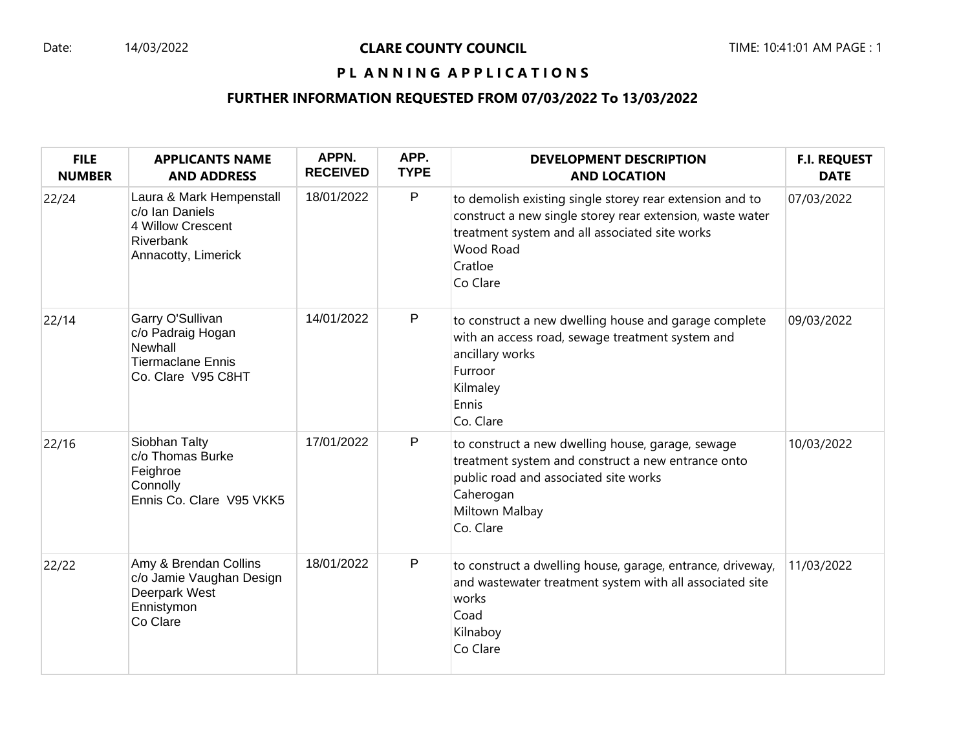## Date: 14/03/2022 **CLARE COUNTY COUNCIL** TIME: 10:41:01 AM PAGE : 1

## PL ANNING APPLICATIONS

## **FURTHER INFORMATION REQUESTED FROM 07/03/2022 To 13/03/2022**

| <b>FILE</b><br><b>NUMBER</b> | <b>APPLICANTS NAME</b><br><b>AND ADDRESS</b>                                                         | APPN.<br><b>RECEIVED</b> | APP.<br><b>TYPE</b> | <b>DEVELOPMENT DESCRIPTION</b><br><b>AND LOCATION</b>                                                                                                                                                       | <b>F.I. REQUEST</b><br><b>DATE</b> |
|------------------------------|------------------------------------------------------------------------------------------------------|--------------------------|---------------------|-------------------------------------------------------------------------------------------------------------------------------------------------------------------------------------------------------------|------------------------------------|
| 22/24                        | Laura & Mark Hempenstall<br>c/o Ian Daniels<br>4 Willow Crescent<br>Riverbank<br>Annacotty, Limerick | 18/01/2022               | P                   | to demolish existing single storey rear extension and to<br>construct a new single storey rear extension, waste water<br>treatment system and all associated site works<br>Wood Road<br>Cratloe<br>Co Clare | 07/03/2022                         |
| 22/14                        | Garry O'Sullivan<br>c/o Padraig Hogan<br>Newhall<br><b>Tiermaclane Ennis</b><br>Co. Clare V95 C8HT   | 14/01/2022               | P                   | to construct a new dwelling house and garage complete<br>with an access road, sewage treatment system and<br>ancillary works<br>Furroor<br>Kilmaley<br>Ennis<br>Co. Clare                                   | 09/03/2022                         |
| 22/16                        | Siobhan Talty<br>c/o Thomas Burke<br>Feighroe<br>Connolly<br>Ennis Co. Clare V95 VKK5                | 17/01/2022               | P                   | to construct a new dwelling house, garage, sewage<br>treatment system and construct a new entrance onto<br>public road and associated site works<br>Caherogan<br>Miltown Malbay<br>Co. Clare                | 10/03/2022                         |
| 22/22                        | Amy & Brendan Collins<br>c/o Jamie Vaughan Design<br>Deerpark West<br>Ennistymon<br>Co Clare         | 18/01/2022               | P                   | to construct a dwelling house, garage, entrance, driveway,<br>and wastewater treatment system with all associated site<br>works<br>Coad<br>Kilnaboy<br>Co Clare                                             | 11/03/2022                         |